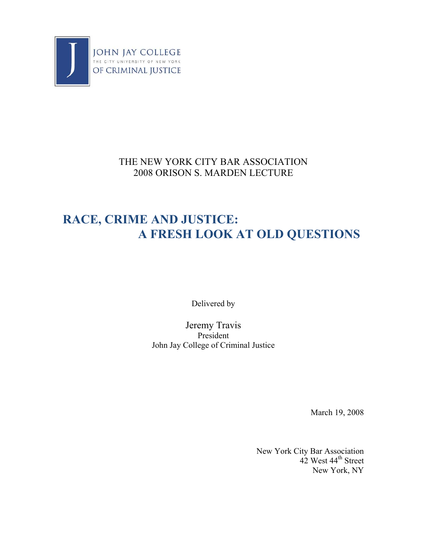

## THE NEW YORK CITY BAR ASSOCIATION 2008 ORISON S. MARDEN LECTURE

## **RACE, CRIME AND JUSTICE: A FRESH LOOK AT OLD QUESTIONS**

Delivered by

Jeremy Travis President John Jay College of Criminal Justice

March 19, 2008

New York City Bar Association 42 West 44<sup>th</sup> Street New York, NY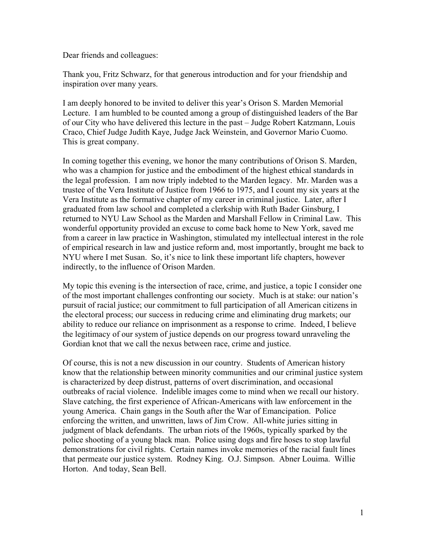Dear friends and colleagues:

Thank you, Fritz Schwarz, for that generous introduction and for your friendship and inspiration over many years.

I am deeply honored to be invited to deliver this year's Orison S. Marden Memorial Lecture. I am humbled to be counted among a group of distinguished leaders of the Bar of our City who have delivered this lecture in the past – Judge Robert Katzmann, Louis Craco, Chief Judge Judith Kaye, Judge Jack Weinstein, and Governor Mario Cuomo. This is great company.

In coming together this evening, we honor the many contributions of Orison S. Marden, who was a champion for justice and the embodiment of the highest ethical standards in the legal profession. I am now triply indebted to the Marden legacy. Mr. Marden was a trustee of the Vera Institute of Justice from 1966 to 1975, and I count my six years at the Vera Institute as the formative chapter of my career in criminal justice. Later, after I graduated from law school and completed a clerkship with Ruth Bader Ginsburg, I returned to NYU Law School as the Marden and Marshall Fellow in Criminal Law. This wonderful opportunity provided an excuse to come back home to New York, saved me from a career in law practice in Washington, stimulated my intellectual interest in the role of empirical research in law and justice reform and, most importantly, brought me back to NYU where I met Susan. So, it's nice to link these important life chapters, however indirectly, to the influence of Orison Marden.

My topic this evening is the intersection of race, crime, and justice, a topic I consider one of the most important challenges confronting our society. Much is at stake: our nation's pursuit of racial justice; our commitment to full participation of all American citizens in the electoral process; our success in reducing crime and eliminating drug markets; our ability to reduce our reliance on imprisonment as a response to crime. Indeed, I believe the legitimacy of our system of justice depends on our progress toward unraveling the Gordian knot that we call the nexus between race, crime and justice.

Of course, this is not a new discussion in our country. Students of American history know that the relationship between minority communities and our criminal justice system is characterized by deep distrust, patterns of overt discrimination, and occasional outbreaks of racial violence. Indelible images come to mind when we recall our history. Slave catching, the first experience of African-Americans with law enforcement in the young America. Chain gangs in the South after the War of Emancipation. Police enforcing the written, and unwritten, laws of Jim Crow. All-white juries sitting in judgment of black defendants. The urban riots of the 1960s, typically sparked by the police shooting of a young black man. Police using dogs and fire hoses to stop lawful demonstrations for civil rights. Certain names invoke memories of the racial fault lines that permeate our justice system. Rodney King. O.J. Simpson. Abner Louima. Willie Horton. And today, Sean Bell.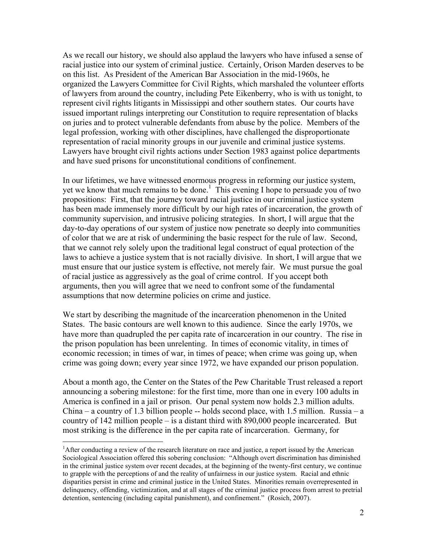As we recall our history, we should also applaud the lawyers who have infused a sense of racial justice into our system of criminal justice. Certainly, Orison Marden deserves to be on this list. As President of the American Bar Association in the mid-1960s, he organized the Lawyers Committee for Civil Rights, which marshaled the volunteer efforts of lawyers from around the country, including Pete Eikenberry, who is with us tonight, to represent civil rights litigants in Mississippi and other southern states. Our courts have issued important rulings interpreting our Constitution to require representation of blacks on juries and to protect vulnerable defendants from abuse by the police. Members of the legal profession, working with other disciplines, have challenged the disproportionate representation of racial minority groups in our juvenile and criminal justice systems. Lawyers have brought civil rights actions under Section 1983 against police departments and have sued prisons for unconstitutional conditions of confinement.

In our lifetimes, we have witnessed enormous progress in reforming our justice system, yet we know that much remains to be done.<sup>1</sup> This evening I hope to persuade you of two propositions: First, that the journey toward racial justice in our criminal justice system has been made immensely more difficult by our high rates of incarceration, the growth of community supervision, and intrusive policing strategies. In short, I will argue that the day-to-day operations of our system of justice now penetrate so deeply into communities of color that we are at risk of undermining the basic respect for the rule of law. Second, that we cannot rely solely upon the traditional legal construct of equal protection of the laws to achieve a justice system that is not racially divisive. In short, I will argue that we must ensure that our justice system is effective, not merely fair. We must pursue the goal of racial justice as aggressively as the goal of crime control. If you accept both arguments, then you will agree that we need to confront some of the fundamental assumptions that now determine policies on crime and justice.

We start by describing the magnitude of the incarceration phenomenon in the United States. The basic contours are well known to this audience. Since the early 1970s, we have more than quadrupled the per capita rate of incarceration in our country. The rise in the prison population has been unrelenting. In times of economic vitality, in times of economic recession; in times of war, in times of peace; when crime was going up, when crime was going down; every year since 1972, we have expanded our prison population.

About a month ago, the Center on the States of the Pew Charitable Trust released a report announcing a sobering milestone: for the first time, more than one in every 100 adults in America is confined in a jail or prison. Our penal system now holds 2.3 million adults. China – a country of 1.3 billion people -- holds second place, with 1.5 million. Russia – a country of 142 million people – is a distant third with 890,000 people incarcerated. But most striking is the difference in the per capita rate of incarceration. Germany, for

<u>.</u>

<sup>&</sup>lt;sup>1</sup>After conducting a review of the research literature on race and justice, a report issued by the American Sociological Association offered this sobering conclusion: "Although overt discrimination has diminished in the criminal justice system over recent decades, at the beginning of the twenty-first century, we continue to grapple with the perceptions of and the reality of unfairness in our justice system. Racial and ethnic disparities persist in crime and criminal justice in the United States. Minorities remain overrepresented in delinquency, offending, victimization, and at all stages of the criminal justice process from arrest to pretrial detention, sentencing (including capital punishment), and confinement." (Rosich, 2007).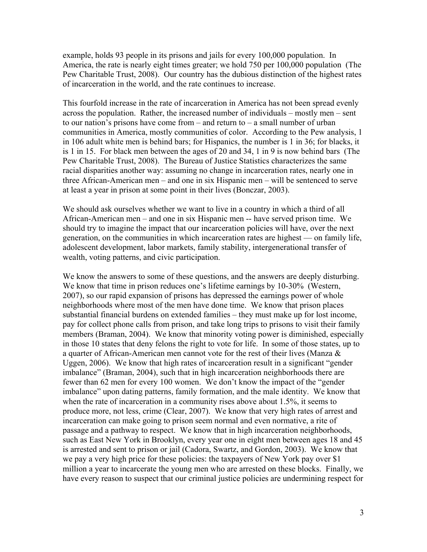example, holds 93 people in its prisons and jails for every 100,000 population. In America, the rate is nearly eight times greater; we hold 750 per 100,000 population (The Pew Charitable Trust, 2008). Our country has the dubious distinction of the highest rates of incarceration in the world, and the rate continues to increase.

This fourfold increase in the rate of incarceration in America has not been spread evenly across the population. Rather, the increased number of individuals – mostly men – sent to our nation's prisons have come from  $-$  and return to  $-$  a small number of urban communities in America, mostly communities of color. According to the Pew analysis, 1 in 106 adult white men is behind bars; for Hispanics, the number is 1 in 36; for blacks, it is 1 in 15. For black men between the ages of 20 and 34, 1 in 9 is now behind bars (The Pew Charitable Trust, 2008). The Bureau of Justice Statistics characterizes the same racial disparities another way: assuming no change in incarceration rates, nearly one in three African-American men – and one in six Hispanic men – will be sentenced to serve at least a year in prison at some point in their lives (Bonczar, 2003).

We should ask ourselves whether we want to live in a country in which a third of all African-American men – and one in six Hispanic men -- have served prison time. We should try to imagine the impact that our incarceration policies will have, over the next generation, on the communities in which incarceration rates are highest — on family life, adolescent development, labor markets, family stability, intergenerational transfer of wealth, voting patterns, and civic participation.

We know the answers to some of these questions, and the answers are deeply disturbing. We know that time in prison reduces one's lifetime earnings by 10-30% (Western, 2007), so our rapid expansion of prisons has depressed the earnings power of whole neighborhoods where most of the men have done time. We know that prison places substantial financial burdens on extended families – they must make up for lost income, pay for collect phone calls from prison, and take long trips to prisons to visit their family members (Braman, 2004). We know that minority voting power is diminished, especially in those 10 states that deny felons the right to vote for life. In some of those states, up to a quarter of African-American men cannot vote for the rest of their lives (Manza & Uggen, 2006). We know that high rates of incarceration result in a significant "gender imbalance" (Braman, 2004), such that in high incarceration neighborhoods there are fewer than 62 men for every 100 women. We don't know the impact of the "gender imbalance" upon dating patterns, family formation, and the male identity. We know that when the rate of incarceration in a community rises above about 1.5%, it seems to produce more, not less, crime (Clear, 2007). We know that very high rates of arrest and incarceration can make going to prison seem normal and even normative, a rite of passage and a pathway to respect. We know that in high incarceration neighborhoods, such as East New York in Brooklyn, every year one in eight men between ages 18 and 45 is arrested and sent to prison or jail (Cadora, Swartz, and Gordon, 2003). We know that we pay a very high price for these policies: the taxpayers of New York pay over \$1 million a year to incarcerate the young men who are arrested on these blocks. Finally, we have every reason to suspect that our criminal justice policies are undermining respect for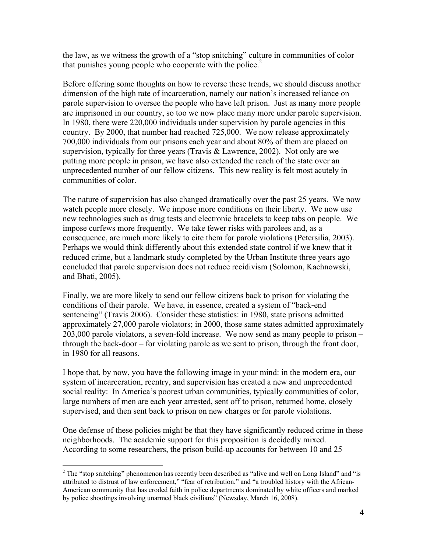the law, as we witness the growth of a "stop snitching" culture in communities of color that punishes young people who cooperate with the police.<sup>2</sup>

Before offering some thoughts on how to reverse these trends, we should discuss another dimension of the high rate of incarceration, namely our nation's increased reliance on parole supervision to oversee the people who have left prison. Just as many more people are imprisoned in our country, so too we now place many more under parole supervision. In 1980, there were 220,000 individuals under supervision by parole agencies in this country. By 2000, that number had reached 725,000. We now release approximately 700,000 individuals from our prisons each year and about 80% of them are placed on supervision, typically for three years (Travis & Lawrence, 2002). Not only are we putting more people in prison, we have also extended the reach of the state over an unprecedented number of our fellow citizens. This new reality is felt most acutely in communities of color.

The nature of supervision has also changed dramatically over the past 25 years. We now watch people more closely. We impose more conditions on their liberty. We now use new technologies such as drug tests and electronic bracelets to keep tabs on people. We impose curfews more frequently. We take fewer risks with parolees and, as a consequence, are much more likely to cite them for parole violations (Petersilia, 2003). Perhaps we would think differently about this extended state control if we knew that it reduced crime, but a landmark study completed by the Urban Institute three years ago concluded that parole supervision does not reduce recidivism (Solomon, Kachnowski, and Bhati, 2005).

Finally, we are more likely to send our fellow citizens back to prison for violating the conditions of their parole. We have, in essence, created a system of "back-end sentencing" (Travis 2006). Consider these statistics: in 1980, state prisons admitted approximately 27,000 parole violators; in 2000, those same states admitted approximately 203,000 parole violators, a seven-fold increase. We now send as many people to prison – through the back-door – for violating parole as we sent to prison, through the front door, in 1980 for all reasons.

I hope that, by now, you have the following image in your mind: in the modern era, our system of incarceration, reentry, and supervision has created a new and unprecedented social reality: In America's poorest urban communities, typically communities of color, large numbers of men are each year arrested, sent off to prison, returned home, closely supervised, and then sent back to prison on new charges or for parole violations.

One defense of these policies might be that they have significantly reduced crime in these neighborhoods. The academic support for this proposition is decidedly mixed. According to some researchers, the prison build-up accounts for between 10 and 25

<sup>&</sup>lt;sup>2</sup> The "stop snitching" phenomenon has recently been described as "alive and well on Long Island" and "is attributed to distrust of law enforcement," "fear of retribution," and "a troubled history with the African-American community that has eroded faith in police departments dominated by white officers and marked by police shootings involving unarmed black civilians" (Newsday, March 16, 2008).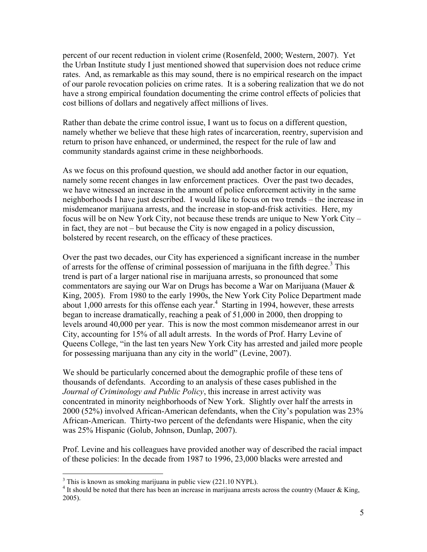percent of our recent reduction in violent crime (Rosenfeld, 2000; Western, 2007). Yet the Urban Institute study I just mentioned showed that supervision does not reduce crime rates. And, as remarkable as this may sound, there is no empirical research on the impact of our parole revocation policies on crime rates. It is a sobering realization that we do not have a strong empirical foundation documenting the crime control effects of policies that cost billions of dollars and negatively affect millions of lives.

Rather than debate the crime control issue, I want us to focus on a different question, namely whether we believe that these high rates of incarceration, reentry, supervision and return to prison have enhanced, or undermined, the respect for the rule of law and community standards against crime in these neighborhoods.

As we focus on this profound question, we should add another factor in our equation, namely some recent changes in law enforcement practices. Over the past two decades, we have witnessed an increase in the amount of police enforcement activity in the same neighborhoods I have just described. I would like to focus on two trends – the increase in misdemeanor marijuana arrests, and the increase in stop-and-frisk activities. Here, my focus will be on New York City, not because these trends are unique to New York City – in fact, they are not – but because the City is now engaged in a policy discussion, bolstered by recent research, on the efficacy of these practices.

Over the past two decades, our City has experienced a significant increase in the number of arrests for the offense of criminal possession of marijuana in the fifth degree. $3$  This trend is part of a larger national rise in marijuana arrests, so pronounced that some commentators are saying our War on Drugs has become a War on Marijuana (Mauer  $\&$ King, 2005). From 1980 to the early 1990s, the New York City Police Department made about  $1,000$  arrests for this offense each year.<sup>4</sup> Starting in 1994, however, these arrests began to increase dramatically, reaching a peak of 51,000 in 2000, then dropping to levels around 40,000 per year. This is now the most common misdemeanor arrest in our City, accounting for 15% of all adult arrests. In the words of Prof. Harry Levine of Queens College, "in the last ten years New York City has arrested and jailed more people for possessing marijuana than any city in the world" (Levine, 2007).

We should be particularly concerned about the demographic profile of these tens of thousands of defendants. According to an analysis of these cases published in the *Journal of Criminology and Public Policy*, this increase in arrest activity was concentrated in minority neighborhoods of New York. Slightly over half the arrests in 2000 (52%) involved African-American defendants, when the City's population was 23% African-American. Thirty-two percent of the defendants were Hispanic, when the city was 25% Hispanic (Golub, Johnson, Dunlap, 2007).

Prof. Levine and his colleagues have provided another way of described the racial impact of these policies: In the decade from 1987 to 1996, 23,000 blacks were arrested and

 $3$  This is known as smoking marijuana in public view (221.10 NYPL).

<sup>&</sup>lt;sup>4</sup> It should be noted that there has been an increase in marijuana arrests across the country (Mauer & King, 2005).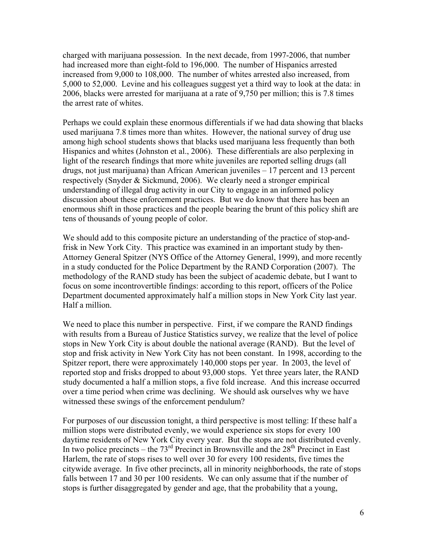charged with marijuana possession. In the next decade, from 1997-2006, that number had increased more than eight-fold to 196,000. The number of Hispanics arrested increased from 9,000 to 108,000. The number of whites arrested also increased, from 5,000 to 52,000. Levine and his colleagues suggest yet a third way to look at the data: in 2006, blacks were arrested for marijuana at a rate of 9,750 per million; this is 7.8 times the arrest rate of whites.

Perhaps we could explain these enormous differentials if we had data showing that blacks used marijuana 7.8 times more than whites. However, the national survey of drug use among high school students shows that blacks used marijuana less frequently than both Hispanics and whites (Johnston et al., 2006). These differentials are also perplexing in light of the research findings that more white juveniles are reported selling drugs (all drugs, not just marijuana) than African American juveniles – 17 percent and 13 percent respectively (Snyder & Sickmund, 2006). We clearly need a stronger empirical understanding of illegal drug activity in our City to engage in an informed policy discussion about these enforcement practices. But we do know that there has been an enormous shift in those practices and the people bearing the brunt of this policy shift are tens of thousands of young people of color.

We should add to this composite picture an understanding of the practice of stop-andfrisk in New York City. This practice was examined in an important study by then-Attorney General Spitzer (NYS Office of the Attorney General, 1999), and more recently in a study conducted for the Police Department by the RAND Corporation (2007). The methodology of the RAND study has been the subject of academic debate, but I want to focus on some incontrovertible findings: according to this report, officers of the Police Department documented approximately half a million stops in New York City last year. Half a million.

We need to place this number in perspective. First, if we compare the RAND findings with results from a Bureau of Justice Statistics survey, we realize that the level of police stops in New York City is about double the national average (RAND). But the level of stop and frisk activity in New York City has not been constant. In 1998, according to the Spitzer report, there were approximately 140,000 stops per year. In 2003, the level of reported stop and frisks dropped to about 93,000 stops. Yet three years later, the RAND study documented a half a million stops, a five fold increase. And this increase occurred over a time period when crime was declining. We should ask ourselves why we have witnessed these swings of the enforcement pendulum?

For purposes of our discussion tonight, a third perspective is most telling: If these half a million stops were distributed evenly, we would experience six stops for every 100 daytime residents of New York City every year. But the stops are not distributed evenly. In two police precincts – the  $73<sup>rd</sup>$  Precinct in Brownsville and the  $28<sup>th</sup>$  Precinct in East Harlem, the rate of stops rises to well over 30 for every 100 residents, five times the citywide average. In five other precincts, all in minority neighborhoods, the rate of stops falls between 17 and 30 per 100 residents. We can only assume that if the number of stops is further disaggregated by gender and age, that the probability that a young,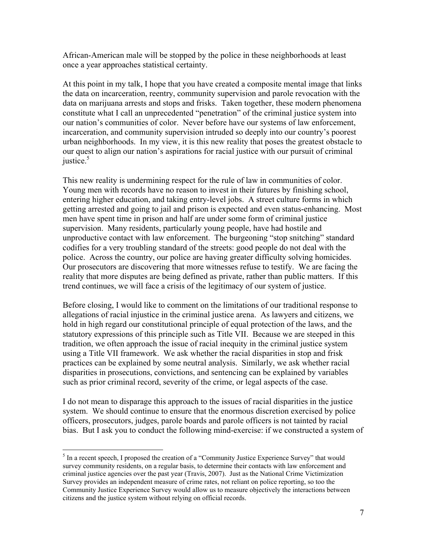African-American male will be stopped by the police in these neighborhoods at least once a year approaches statistical certainty.

At this point in my talk, I hope that you have created a composite mental image that links the data on incarceration, reentry, community supervision and parole revocation with the data on marijuana arrests and stops and frisks. Taken together, these modern phenomena constitute what I call an unprecedented "penetration" of the criminal justice system into our nation's communities of color. Never before have our systems of law enforcement, incarceration, and community supervision intruded so deeply into our country's poorest urban neighborhoods. In my view, it is this new reality that poses the greatest obstacle to our quest to align our nation's aspirations for racial justice with our pursuit of criminal justice.<sup>5</sup>

This new reality is undermining respect for the rule of law in communities of color. Young men with records have no reason to invest in their futures by finishing school, entering higher education, and taking entry-level jobs. A street culture forms in which getting arrested and going to jail and prison is expected and even status-enhancing. Most men have spent time in prison and half are under some form of criminal justice supervision. Many residents, particularly young people, have had hostile and unproductive contact with law enforcement. The burgeoning "stop snitching" standard codifies for a very troubling standard of the streets: good people do not deal with the police. Across the country, our police are having greater difficulty solving homicides. Our prosecutors are discovering that more witnesses refuse to testify. We are facing the reality that more disputes are being defined as private, rather than public matters. If this trend continues, we will face a crisis of the legitimacy of our system of justice.

Before closing, I would like to comment on the limitations of our traditional response to allegations of racial injustice in the criminal justice arena. As lawyers and citizens, we hold in high regard our constitutional principle of equal protection of the laws, and the statutory expressions of this principle such as Title VII. Because we are steeped in this tradition, we often approach the issue of racial inequity in the criminal justice system using a Title VII framework. We ask whether the racial disparities in stop and frisk practices can be explained by some neutral analysis. Similarly, we ask whether racial disparities in prosecutions, convictions, and sentencing can be explained by variables such as prior criminal record, severity of the crime, or legal aspects of the case.

I do not mean to disparage this approach to the issues of racial disparities in the justice system. We should continue to ensure that the enormous discretion exercised by police officers, prosecutors, judges, parole boards and parole officers is not tainted by racial bias. But I ask you to conduct the following mind-exercise: if we constructed a system of

 $<sup>5</sup>$  In a recent speech, I proposed the creation of a "Community Justice Experience Survey" that would</sup> survey community residents, on a regular basis, to determine their contacts with law enforcement and criminal justice agencies over the past year (Travis, 2007). Just as the National Crime Victimization Survey provides an independent measure of crime rates, not reliant on police reporting, so too the Community Justice Experience Survey would allow us to measure objectively the interactions between citizens and the justice system without relying on official records.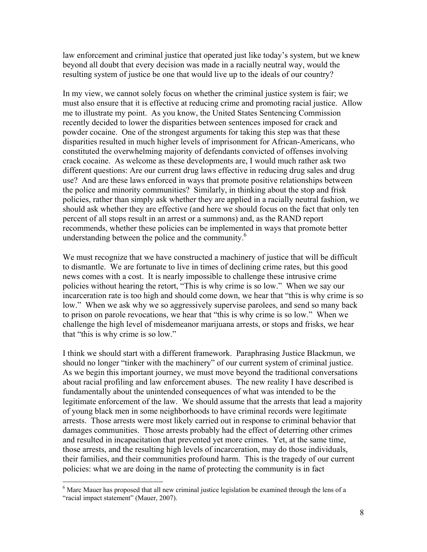law enforcement and criminal justice that operated just like today's system, but we knew beyond all doubt that every decision was made in a racially neutral way, would the resulting system of justice be one that would live up to the ideals of our country?

In my view, we cannot solely focus on whether the criminal justice system is fair; we must also ensure that it is effective at reducing crime and promoting racial justice. Allow me to illustrate my point. As you know, the United States Sentencing Commission recently decided to lower the disparities between sentences imposed for crack and powder cocaine. One of the strongest arguments for taking this step was that these disparities resulted in much higher levels of imprisonment for African-Americans, who constituted the overwhelming majority of defendants convicted of offenses involving crack cocaine. As welcome as these developments are, I would much rather ask two different questions: Are our current drug laws effective in reducing drug sales and drug use? And are these laws enforced in ways that promote positive relationships between the police and minority communities? Similarly, in thinking about the stop and frisk policies, rather than simply ask whether they are applied in a racially neutral fashion, we should ask whether they are effective (and here we should focus on the fact that only ten percent of all stops result in an arrest or a summons) and, as the RAND report recommends, whether these policies can be implemented in ways that promote better understanding between the police and the community.<sup>6</sup>

We must recognize that we have constructed a machinery of justice that will be difficult to dismantle. We are fortunate to live in times of declining crime rates, but this good news comes with a cost. It is nearly impossible to challenge these intrusive crime policies without hearing the retort, "This is why crime is so low." When we say our incarceration rate is too high and should come down, we hear that "this is why crime is so low." When we ask why we so aggressively supervise parolees, and send so many back to prison on parole revocations, we hear that "this is why crime is so low." When we challenge the high level of misdemeanor marijuana arrests, or stops and frisks, we hear that "this is why crime is so low."

I think we should start with a different framework. Paraphrasing Justice Blackmun, we should no longer "tinker with the machinery" of our current system of criminal justice. As we begin this important journey, we must move beyond the traditional conversations about racial profiling and law enforcement abuses. The new reality I have described is fundamentally about the unintended consequences of what was intended to be the legitimate enforcement of the law. We should assume that the arrests that lead a majority of young black men in some neighborhoods to have criminal records were legitimate arrests. Those arrests were most likely carried out in response to criminal behavior that damages communities. Those arrests probably had the effect of deterring other crimes and resulted in incapacitation that prevented yet more crimes. Yet, at the same time, those arrests, and the resulting high levels of incarceration, may do those individuals, their families, and their communities profound harm. This is the tragedy of our current policies: what we are doing in the name of protecting the community is in fact

<sup>&</sup>lt;sup>6</sup> Marc Mauer has proposed that all new criminal justice legislation be examined through the lens of a "racial impact statement" (Mauer, 2007).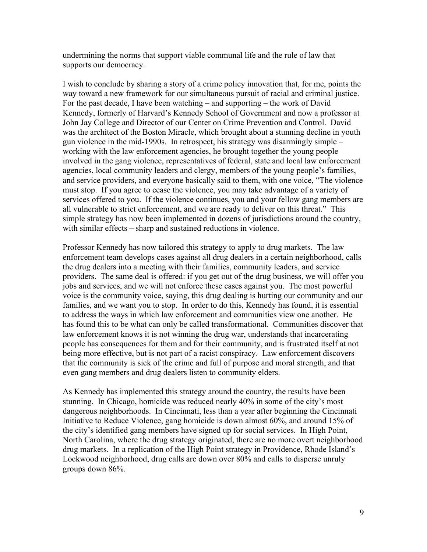undermining the norms that support viable communal life and the rule of law that supports our democracy.

I wish to conclude by sharing a story of a crime policy innovation that, for me, points the way toward a new framework for our simultaneous pursuit of racial and criminal justice. For the past decade, I have been watching – and supporting – the work of David Kennedy, formerly of Harvard's Kennedy School of Government and now a professor at John Jay College and Director of our Center on Crime Prevention and Control. David was the architect of the Boston Miracle, which brought about a stunning decline in youth gun violence in the mid-1990s. In retrospect, his strategy was disarmingly simple – working with the law enforcement agencies, he brought together the young people involved in the gang violence, representatives of federal, state and local law enforcement agencies, local community leaders and clergy, members of the young people's families, and service providers, and everyone basically said to them, with one voice, "The violence must stop. If you agree to cease the violence, you may take advantage of a variety of services offered to you. If the violence continues, you and your fellow gang members are all vulnerable to strict enforcement, and we are ready to deliver on this threat." This simple strategy has now been implemented in dozens of jurisdictions around the country, with similar effects – sharp and sustained reductions in violence.

Professor Kennedy has now tailored this strategy to apply to drug markets. The law enforcement team develops cases against all drug dealers in a certain neighborhood, calls the drug dealers into a meeting with their families, community leaders, and service providers. The same deal is offered: if you get out of the drug business, we will offer you jobs and services, and we will not enforce these cases against you. The most powerful voice is the community voice, saying, this drug dealing is hurting our community and our families, and we want you to stop. In order to do this, Kennedy has found, it is essential to address the ways in which law enforcement and communities view one another. He has found this to be what can only be called transformational. Communities discover that law enforcement knows it is not winning the drug war, understands that incarcerating people has consequences for them and for their community, and is frustrated itself at not being more effective, but is not part of a racist conspiracy. Law enforcement discovers that the community is sick of the crime and full of purpose and moral strength, and that even gang members and drug dealers listen to community elders.

As Kennedy has implemented this strategy around the country, the results have been stunning. In Chicago, homicide was reduced nearly 40% in some of the city's most dangerous neighborhoods. In Cincinnati, less than a year after beginning the Cincinnati Initiative to Reduce Violence, gang homicide is down almost 60%, and around 15% of the city's identified gang members have signed up for social services. In High Point, North Carolina, where the drug strategy originated, there are no more overt neighborhood drug markets. In a replication of the High Point strategy in Providence, Rhode Island's Lockwood neighborhood, drug calls are down over 80% and calls to disperse unruly groups down 86%.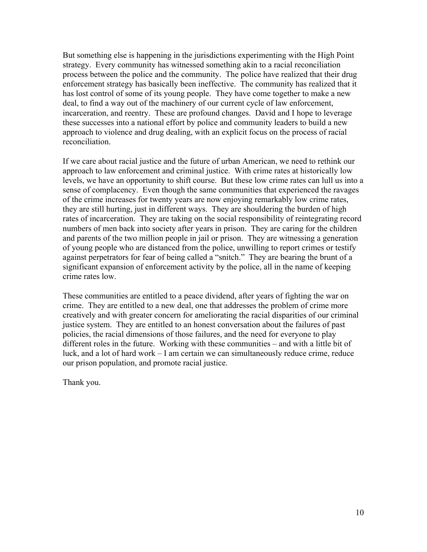But something else is happening in the jurisdictions experimenting with the High Point strategy. Every community has witnessed something akin to a racial reconciliation process between the police and the community. The police have realized that their drug enforcement strategy has basically been ineffective. The community has realized that it has lost control of some of its young people. They have come together to make a new deal, to find a way out of the machinery of our current cycle of law enforcement, incarceration, and reentry. These are profound changes. David and I hope to leverage these successes into a national effort by police and community leaders to build a new approach to violence and drug dealing, with an explicit focus on the process of racial reconciliation.

If we care about racial justice and the future of urban American, we need to rethink our approach to law enforcement and criminal justice. With crime rates at historically low levels, we have an opportunity to shift course. But these low crime rates can lull us into a sense of complacency. Even though the same communities that experienced the ravages of the crime increases for twenty years are now enjoying remarkably low crime rates, they are still hurting, just in different ways. They are shouldering the burden of high rates of incarceration. They are taking on the social responsibility of reintegrating record numbers of men back into society after years in prison. They are caring for the children and parents of the two million people in jail or prison. They are witnessing a generation of young people who are distanced from the police, unwilling to report crimes or testify against perpetrators for fear of being called a "snitch." They are bearing the brunt of a significant expansion of enforcement activity by the police, all in the name of keeping crime rates low.

These communities are entitled to a peace dividend, after years of fighting the war on crime. They are entitled to a new deal, one that addresses the problem of crime more creatively and with greater concern for ameliorating the racial disparities of our criminal justice system. They are entitled to an honest conversation about the failures of past policies, the racial dimensions of those failures, and the need for everyone to play different roles in the future. Working with these communities – and with a little bit of luck, and a lot of hard work – I am certain we can simultaneously reduce crime, reduce our prison population, and promote racial justice.

Thank you.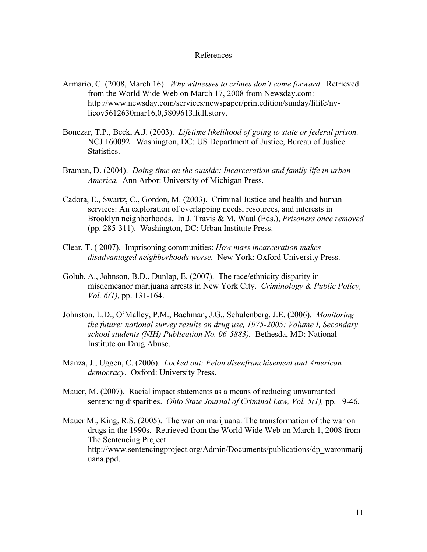## References

- Armario, C. (2008, March 16). *Why witnesses to crimes don't come forward.* Retrieved from the World Wide Web on March 17, 2008 from Newsday.com: http://www.newsday.com/services/newspaper/printedition/sunday/lilife/nylicov5612630mar16,0,5809613,full.story.
- Bonczar, T.P., Beck, A.J. (2003). *Lifetime likelihood of going to state or federal prison.* NCJ 160092. Washington, DC: US Department of Justice, Bureau of Justice Statistics.
- Braman, D. (2004). *Doing time on the outside: Incarceration and family life in urban America.* Ann Arbor: University of Michigan Press.
- Cadora, E., Swartz, C., Gordon, M. (2003). Criminal Justice and health and human services: An exploration of overlapping needs, resources, and interests in Brooklyn neighborhoods. In J. Travis & M. Waul (Eds.), *Prisoners once removed* (pp. 285-311). Washington, DC: Urban Institute Press.
- Clear, T. ( 2007). Imprisoning communities: *How mass incarceration makes disadvantaged neighborhoods worse.* New York: Oxford University Press.
- Golub, A., Johnson, B.D., Dunlap, E. (2007). The race/ethnicity disparity in misdemeanor marijuana arrests in New York City. *Criminology & Public Policy, Vol. 6(1),* pp. 131-164.
- Johnston, L.D., O'Malley, P.M., Bachman, J.G., Schulenberg, J.E. (2006). *Monitoring the future: national survey results on drug use, 1975-2005: Volume I, Secondary school students (NIH) Publication No. 06-5883).* Bethesda, MD: National Institute on Drug Abuse.
- Manza, J., Uggen, C. (2006). *Locked out: Felon disenfranchisement and American democracy.* Oxford: University Press.
- Mauer, M. (2007). Racial impact statements as a means of reducing unwarranted sentencing disparities. *Ohio State Journal of Criminal Law, Vol. 5(1),* pp. 19-46.
- Mauer M., King, R.S. (2005). The war on marijuana: The transformation of the war on drugs in the 1990s. Retrieved from the World Wide Web on March 1, 2008 from The Sentencing Project: http://www.sentencingproject.org/Admin/Documents/publications/dp\_waronmarij uana.ppd.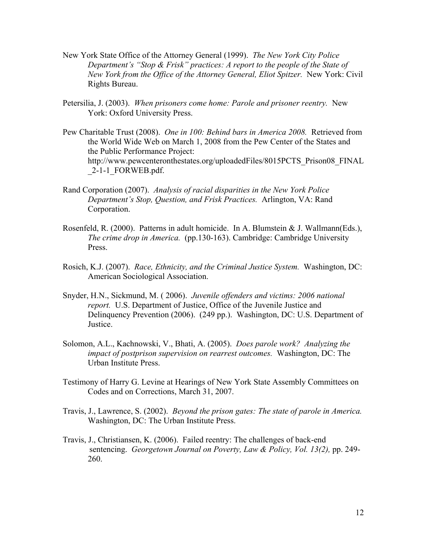- New York State Office of the Attorney General (1999). *The New York City Police Department's "Stop & Frisk" practices: A report to the people of the State of New York from the Office of the Attorney General, Eliot Spitzer.* New York: Civil Rights Bureau.
- Petersilia, J. (2003). *When prisoners come home: Parole and prisoner reentry.* New York: Oxford University Press.
- Pew Charitable Trust (2008). *One in 100: Behind bars in America 2008.* Retrieved from the World Wide Web on March 1, 2008 from the Pew Center of the States and the Public Performance Project: http://www.pewcenteronthestates.org/uploadedFiles/8015PCTS\_Prison08\_FINAL  $2-1-1$  FORWEB.pdf.
- Rand Corporation (2007). *Analysis of racial disparities in the New York Police Department's Stop, Question, and Frisk Practices.* Arlington, VA: Rand Corporation.
- Rosenfeld, R. (2000). Patterns in adult homicide. In A. Blumstein & J. Wallmann(Eds.), *The crime drop in America.* (pp.130-163). Cambridge: Cambridge University Press.
- Rosich, K.J. (2007). *Race, Ethnicity, and the Criminal Justice System.* Washington, DC: American Sociological Association.
- Snyder, H.N., Sickmund, M. ( 2006). *Juvenile offenders and victims: 2006 national report.* U.S. Department of Justice, Office of the Juvenile Justice and Delinquency Prevention (2006). (249 pp.). Washington, DC: U.S. Department of Justice.
- Solomon, A.L., Kachnowski, V., Bhati, A. (2005). *Does parole work? Analyzing the impact of postprison supervision on rearrest outcomes.* Washington, DC: The Urban Institute Press.
- Testimony of Harry G. Levine at Hearings of New York State Assembly Committees on Codes and on Corrections, March 31, 2007.
- Travis, J., Lawrence, S. (2002). *Beyond the prison gates: The state of parole in America.* Washington, DC: The Urban Institute Press.
- Travis, J., Christiansen, K. (2006). Failed reentry: The challenges of back-end sentencing. *Georgetown Journal on Poverty, Law & Policy, Vol. 13(2),* pp. 249- 260.